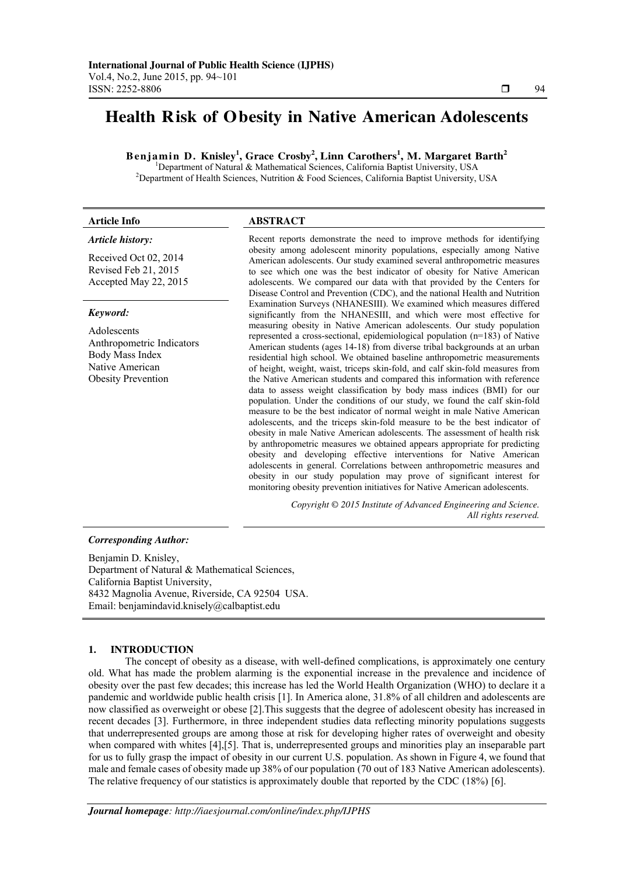# **Health Risk of Obesity in Native American Adolescents**

**Benjamin D. Knisley<sup>1</sup> , Grace Crosby<sup>2</sup> , Linn Carothers<sup>1</sup> , M. Margaret Barth<sup>2</sup>**

<sup>1</sup>Department of Natural & Mathematical Sciences, California Baptist University, USA <sup>2</sup>Department of Health Sciences, Nutrition & Food Sciences, California Baptist University, USA

### **Article Info ABSTRACT**

# *Article history:*

Received Oct 02, 2014 Revised Feb 21, 2015 Accepted May 22, 2015

#### *Keyword:*

Adolescents Anthropometric Indicators Body Mass Index Native American Obesity Prevention

Recent reports demonstrate the need to improve methods for identifying obesity among adolescent minority populations, especially among Native American adolescents. Our study examined several anthropometric measures to see which one was the best indicator of obesity for Native American adolescents. We compared our data with that provided by the Centers for Disease Control and Prevention (CDC), and the national Health and Nutrition Examination Surveys (NHANESIII). We examined which measures differed significantly from the NHANESIII, and which were most effective for measuring obesity in Native American adolescents. Our study population represented a cross-sectional, epidemiological population (n=183) of Native American students (ages 14-18) from diverse tribal backgrounds at an urban residential high school. We obtained baseline anthropometric measurements of height, weight, waist, triceps skin-fold, and calf skin-fold measures from the Native American students and compared this information with reference data to assess weight classification by body mass indices (BMI) for our population. Under the conditions of our study, we found the calf skin-fold measure to be the best indicator of normal weight in male Native American adolescents, and the triceps skin-fold measure to be the best indicator of obesity in male Native American adolescents. The assessment of health risk by anthropometric measures we obtained appears appropriate for predicting obesity and developing effective interventions for Native American adolescents in general. Correlations between anthropometric measures and obesity in our study population may prove of significant interest for monitoring obesity prevention initiatives for Native American adolescents.

> *Copyright © 2015 Institute of Advanced Engineering and Science. All rights reserved.*

### *Corresponding Author:*

Benjamin D. Knisley, Department of Natural & Mathematical Sciences, California Baptist University, 8432 Magnolia Avenue, Riverside, CA 92504 USA. Email: benjamindavid.knisely@calbaptist.edu

# **1. INTRODUCTION**

The concept of obesity as a disease, with well-defined complications, is approximately one century old. What has made the problem alarming is the exponential increase in the prevalence and incidence of obesity over the past few decades; this increase has led the World Health Organization (WHO) to declare it a pandemic and worldwide public health crisis [1]. In America alone, 31.8% of all children and adolescents are now classified as overweight or obese [2].This suggests that the degree of adolescent obesity has increased in recent decades [3]. Furthermore, in three independent studies data reflecting minority populations suggests that underrepresented groups are among those at risk for developing higher rates of overweight and obesity when compared with whites [4],[5]. That is, underrepresented groups and minorities play an inseparable part for us to fully grasp the impact of obesity in our current U.S. population. As shown in Figure 4, we found that male and female cases of obesity made up 38% of our population (70 out of 183 Native American adolescents). The relative frequency of our statistics is approximately double that reported by the CDC (18%) [6].

٦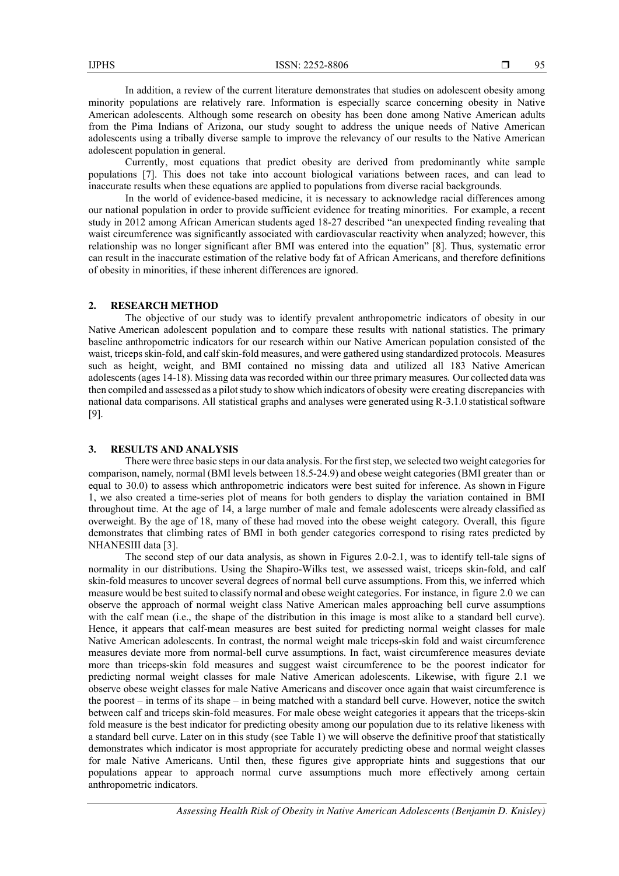In addition, a review of the current literature demonstrates that studies on adolescent obesity among minority populations are relatively rare. Information is especially scarce concerning obesity in Native American adolescents. Although some research on obesity has been done among Native American adults from the Pima Indians of Arizona, our study sought to address the unique needs of Native American adolescents using a tribally diverse sample to improve the relevancy of our results to the Native American adolescent population in general.

Currently, most equations that predict obesity are derived from predominantly white sample populations [7]. This does not take into account biological variations between races, and can lead to inaccurate results when these equations are applied to populations from diverse racial backgrounds.

In the world of evidence-based medicine, it is necessary to acknowledge racial differences among our national population in order to provide sufficient evidence for treating minorities. For example, a recent study in 2012 among African American students aged 18-27 described "an unexpected finding revealing that waist circumference was significantly associated with cardiovascular reactivity when analyzed; however, this relationship was no longer significant after BMI was entered into the equation" [8]. Thus, systematic error can result in the inaccurate estimation of the relative body fat of African Americans, and therefore definitions of obesity in minorities, if these inherent differences are ignored.

## **2. RESEARCH METHOD**

The objective of our study was to identify prevalent anthropometric indicators of obesity in our Native American adolescent population and to compare these results with national statistics. The primary baseline anthropometric indicators for our research within our Native American population consisted of the waist, triceps skin-fold, and calf skin-fold measures, and were gathered using standardized protocols. Measures such as height, weight, and BMI contained no missing data and utilized all 183 Native American adolescents (ages 14-18). Missing data was recorded within our three primary measures*.* Our collected data was then compiled and assessed as a pilot study to show which indicators of obesity were creating discrepancies with national data comparisons. All statistical graphs and analyses were generated using R-3.1.0 statistical software [9].

## **3. RESULTS AND ANALYSIS**

There were three basic steps in our data analysis. For the first step, we selected two weight categories for comparison, namely, normal (BMI levels between 18.5-24.9) and obese weight categories (BMI greater than or equal to 30.0) to assess which anthropometric indicators were best suited for inference. As shown in Figure 1, we also created a time-series plot of means for both genders to display the variation contained in BMI throughout time. At the age of 14, a large number of male and female adolescents were already classified as overweight. By the age of 18, many of these had moved into the obese weight category. Overall, this figure demonstrates that climbing rates of BMI in both gender categories correspond to rising rates predicted by NHANESIII data [3].

The second step of our data analysis, as shown in Figures 2.0-2.1, was to identify tell-tale signs of normality in our distributions. Using the Shapiro-Wilks test, we assessed waist, triceps skin-fold, and calf skin-fold measures to uncover several degrees of normal bell curve assumptions. From this, we inferred which measure would be best suited to classify normal and obese weight categories. For instance, in figure 2.0 we can observe the approach of normal weight class Native American males approaching bell curve assumptions with the calf mean (i.e., the shape of the distribution in this image is most alike to a standard bell curve). Hence, it appears that calf-mean measures are best suited for predicting normal weight classes for male Native American adolescents. In contrast, the normal weight male triceps-skin fold and waist circumference measures deviate more from normal-bell curve assumptions. In fact, waist circumference measures deviate more than triceps-skin fold measures and suggest waist circumference to be the poorest indicator for predicting normal weight classes for male Native American adolescents. Likewise, with figure 2.1 we observe obese weight classes for male Native Americans and discover once again that waist circumference is the poorest – in terms of its shape – in being matched with a standard bell curve. However, notice the switch between calf and triceps skin-fold measures. For male obese weight categories it appears that the triceps-skin fold measure is the best indicator for predicting obesity among our population due to its relative likeness with a standard bell curve. Later on in this study (see Table 1) we will observe the definitive proof that statistically demonstrates which indicator is most appropriate for accurately predicting obese and normal weight classes for male Native Americans. Until then, these figures give appropriate hints and suggestions that our populations appear to approach normal curve assumptions much more effectively among certain anthropometric indicators.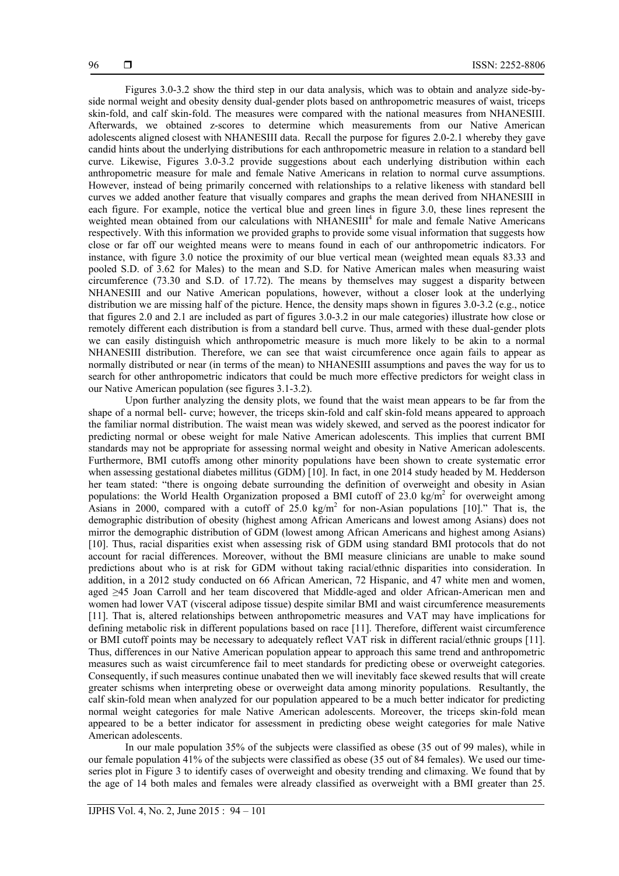Figures 3.0-3.2 show the third step in our data analysis, which was to obtain and analyze side-byside normal weight and obesity density dual-gender plots based on anthropometric measures of waist, triceps skin-fold, and calf skin-fold. The measures were compared with the national measures from NHANESIII. Afterwards, we obtained z-scores to determine which measurements from our Native American adolescents aligned closest with NHANESIII data. Recall the purpose for figures 2.0-2.1 whereby they gave candid hints about the underlying distributions for each anthropometric measure in relation to a standard bell curve. Likewise, Figures 3.0-3.2 provide suggestions about each underlying distribution within each anthropometric measure for male and female Native Americans in relation to normal curve assumptions. However, instead of being primarily concerned with relationships to a relative likeness with standard bell curves we added another feature that visually compares and graphs the mean derived from NHANESIII in each figure. For example, notice the vertical blue and green lines in figure 3.0, these lines represent the weighted mean obtained from our calculations with NHANESIII<sup>4</sup> for male and female Native Americans respectively. With this information we provided graphs to provide some visual information that suggests how close or far off our weighted means were to means found in each of our anthropometric indicators. For instance, with figure 3.0 notice the proximity of our blue vertical mean (weighted mean equals 83.33 and pooled S.D. of 3.62 for Males) to the mean and S.D. for Native American males when measuring waist circumference (73.30 and S.D. of 17.72). The means by themselves may suggest a disparity between NHANESIII and our Native American populations, however, without a closer look at the underlying distribution we are missing half of the picture. Hence, the density maps shown in figures 3.0-3.2 (e.g., notice that figures 2.0 and 2.1 are included as part of figures 3.0-3.2 in our male categories) illustrate how close or remotely different each distribution is from a standard bell curve. Thus, armed with these dual-gender plots we can easily distinguish which anthropometric measure is much more likely to be akin to a normal NHANESIII distribution. Therefore, we can see that waist circumference once again fails to appear as normally distributed or near (in terms of the mean) to NHANESIII assumptions and paves the way for us to search for other anthropometric indicators that could be much more effective predictors for weight class in our Native American population (see figures 3.1-3.2).

Upon further analyzing the density plots, we found that the waist mean appears to be far from the shape of a normal bell- curve; however, the triceps skin-fold and calf skin-fold means appeared to approach the familiar normal distribution. The waist mean was widely skewed, and served as the poorest indicator for predicting normal or obese weight for male Native American adolescents. This implies that current BMI standards may not be appropriate for assessing normal weight and obesity in Native American adolescents. Furthermore, BMI cutoffs among other minority populations have been shown to create systematic error when assessing gestational diabetes millitus (GDM) [10]. In fact, in one 2014 study headed by M. Hedderson her team stated: "there is ongoing debate surrounding the definition of overweight and obesity in Asian populations: the World Health Organization proposed a BMI cutoff of 23.0 kg/m<sup>2</sup> for overweight among Asians in 2000, compared with a cutoff of  $25.0 \text{ kg/m}^2$  for non-Asian populations [10]." That is, the demographic distribution of obesity (highest among African Americans and lowest among Asians) does not mirror the demographic distribution of GDM (lowest among African Americans and highest among Asians) [10]. Thus, racial disparities exist when assessing risk of GDM using standard BMI protocols that do not account for racial differences. Moreover, without the BMI measure clinicians are unable to make sound predictions about who is at risk for GDM without taking racial/ethnic disparities into consideration. In addition, in a 2012 study conducted on 66 African American, 72 Hispanic, and 47 white men and women, aged ≥45 Joan Carroll and her team discovered that Middle-aged and older African-American men and women had lower VAT (visceral adipose tissue) despite similar BMI and waist circumference measurements [11]. That is, altered relationships between anthropometric measures and VAT may have implications for defining metabolic risk in different populations based on race [11]. Therefore, different waist circumference or BMI cutoff points may be necessary to adequately reflect VAT risk in different racial/ethnic groups [11]. Thus, differences in our Native American population appear to approach this same trend and anthropometric measures such as waist circumference fail to meet standards for predicting obese or overweight categories. Consequently, if such measures continue unabated then we will inevitably face skewed results that will create greater schisms when interpreting obese or overweight data among minority populations. Resultantly, the calf skin-fold mean when analyzed for our population appeared to be a much better indicator for predicting normal weight categories for male Native American adolescents. Moreover, the triceps skin-fold mean appeared to be a better indicator for assessment in predicting obese weight categories for male Native American adolescents.

In our male population 35% of the subjects were classified as obese (35 out of 99 males), while in our female population 41% of the subjects were classified as obese (35 out of 84 females). We used our timeseries plot in Figure 3 to identify cases of overweight and obesity trending and climaxing. We found that by the age of 14 both males and females were already classified as overweight with a BMI greater than 25.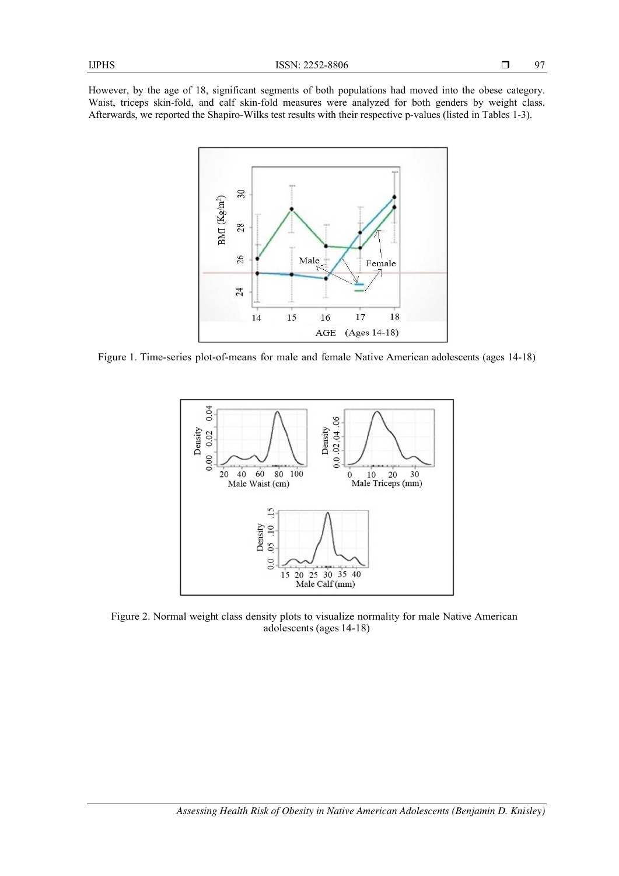However, by the age of 18, significant segments of both populations had moved into the obese category. Waist, triceps skin-fold, and calf skin-fold measures were analyzed for both genders by weight class. Afterwards, we reported the Shapiro-Wilks test results with their respective p-values (listed in Tables 1-3).



Figure 1. Time-series plot-of-means for male and female Native American adolescents (ages 14-18)



Figure 2. Normal weight class density plots to visualize normality for male Native American adolescents (ages 14-18)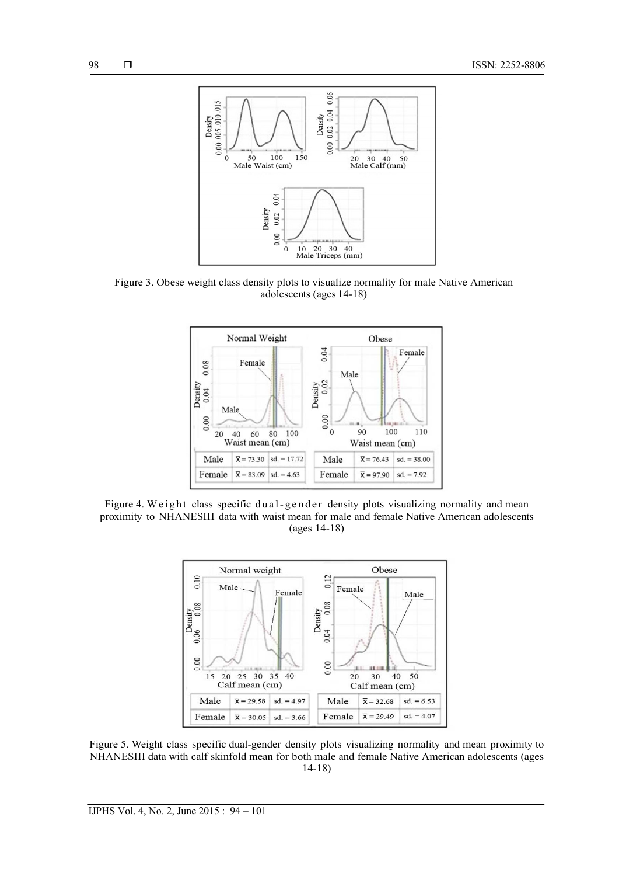

Figure 3. Obese weight class density plots to visualize normality for male Native American adolescents (ages 14-18)



Figure 4. Weight class specific dual-gender density plots visualizing normality and mean proximity to NHANESIII data with waist mean for male and female Native American adolescents (ages 14-18)



Figure 5. Weight class specific dual-gender density plots visualizing normality and mean proximity to NHANESIII data with calf skinfold mean for both male and female Native American adolescents (ages 14-18)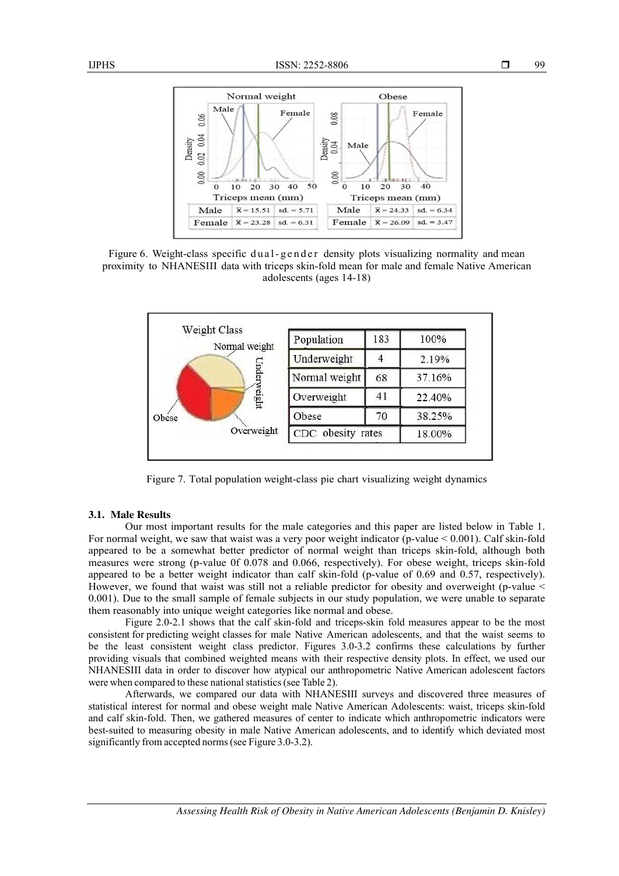

Figure 6. Weight-class specific dual-gender density plots visualizing normality and mean proximity to NHANESIII data with triceps skin-fold mean for male and female Native American adolescents (ages 14-18)



Figure 7. Total population weight-class pie chart visualizing weight dynamics

#### **3.1. Male Results**

Our most important results for the male categories and this paper are listed below in Table 1. For normal weight, we saw that waist was a very poor weight indicator (p-value < 0.001). Calf skin-fold appeared to be a somewhat better predictor of normal weight than triceps skin-fold, although both measures were strong (p-value 0f 0.078 and 0.066, respectively). For obese weight, triceps skin-fold appeared to be a better weight indicator than calf skin-fold (p-value of 0.69 and 0.57, respectively). However, we found that waist was still not a reliable predictor for obesity and overweight (p-value < 0.001). Due to the small sample of female subjects in our study population, we were unable to separate them reasonably into unique weight categories like normal and obese.

Figure 2.0-2.1 shows that the calf skin-fold and triceps-skin fold measures appear to be the most consistent for predicting weight classes for male Native American adolescents, and that the waist seems to be the least consistent weight class predictor. Figures 3.0-3.2 confirms these calculations by further providing visuals that combined weighted means with their respective density plots. In effect, we used our NHANESIII data in order to discover how atypical our anthropometric Native American adolescent factors were when compared to these national statistics (see Table 2).

Afterwards, we compared our data with NHANESIII surveys and discovered three measures of statistical interest for normal and obese weight male Native American Adolescents: waist, triceps skin-fold and calf skin-fold. Then, we gathered measures of center to indicate which anthropometric indicators were best-suited to measuring obesity in male Native American adolescents, and to identify which deviated most significantly from accepted norms (see Figure 3.0-3.2).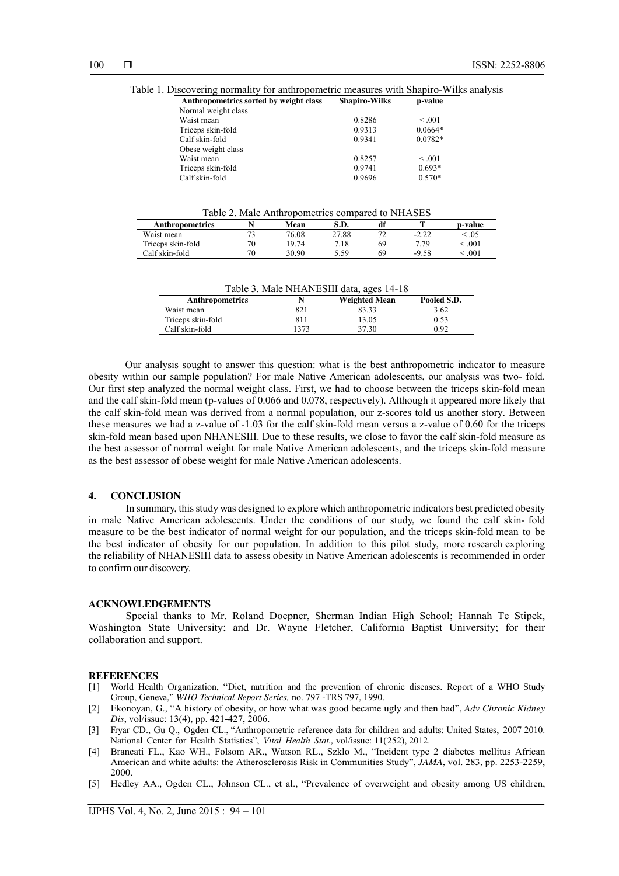Table 1. Discovering normality for anthropometric measures with Shapiro-Wilks analysis

| Anthropometrics sorted by weight class | <b>Shapiro-Wilks</b> | p-value   |
|----------------------------------------|----------------------|-----------|
| Normal weight class                    |                      |           |
| Waist mean                             | 0.8286               | < 0.01    |
| Triceps skin-fold                      | 0.9313               | $0.0664*$ |
| Calf skin-fold                         | 0.9341               | $0.0782*$ |
| Obese weight class                     |                      |           |
| Waist mean                             | 0.8257               | < 0.01    |
| Triceps skin-fold                      | 0.9741               | $0.693*$  |
| Calf skin-fold                         | 0.9696               | $0.570*$  |

Table 2. Male Anthropometrics compared to NHASES

| <b>Anthropometrics</b> |              | Mean  | S.D.  |             |         | p-value                               |
|------------------------|--------------|-------|-------|-------------|---------|---------------------------------------|
| Waist mean             | $\mathbf{a}$ | 76.08 | 27.88 | $7^{\circ}$ | $-2.22$ | $\stackrel{<}{\scriptstyle \sim} 05$  |
| Triceps skin-fold      | 70           | 19.74 | 7.18  | 69          | 779     | $\stackrel{<}{\scriptstyle \sim} 001$ |
| Calf skin-fold         | 70           | 30.90 | 5.59  | 69          | $-9.58$ | .001                                  |

| Table 3. Male NHANESIII data, ages 14-18 |      |               |             |  |  |  |
|------------------------------------------|------|---------------|-------------|--|--|--|
| <b>Anthropometrics</b>                   |      | Weighted Mean | Pooled S.D. |  |  |  |
| Waist mean                               | 821  | 83.33         | 3.62        |  |  |  |
| Triceps skin-fold                        | 811  | 13.05         | 0.53        |  |  |  |
| Calf skin-fold                           | 1373 | 37.30         | 0.92        |  |  |  |

Our analysis sought to answer this question: what is the best anthropometric indicator to measure obesity within our sample population? For male Native American adolescents, our analysis was two- fold. Our first step analyzed the normal weight class. First, we had to choose between the triceps skin-fold mean and the calf skin-fold mean (p-values of 0.066 and 0.078, respectively). Although it appeared more likely that the calf skin-fold mean was derived from a normal population, our z-scores told us another story. Between these measures we had a z-value of -1.03 for the calf skin-fold mean versus a z-value of 0.60 for the triceps skin-fold mean based upon NHANESIII. Due to these results, we close to favor the calf skin-fold measure as the best assessor of normal weight for male Native American adolescents, and the triceps skin-fold measure as the best assessor of obese weight for male Native American adolescents.

### **4. CONCLUSION**

In summary, this study was designed to explore which anthropometric indicators best predicted obesity in male Native American adolescents. Under the conditions of our study, we found the calf skin- fold measure to be the best indicator of normal weight for our population, and the triceps skin-fold mean to be the best indicator of obesity for our population. In addition to this pilot study, more research exploring the reliability of NHANESIII data to assess obesity in Native American adolescents is recommended in order to confirm our discovery.

#### **ACKNOWLEDGEMENTS**

Special thanks to Mr. Roland Doepner, Sherman Indian High School; Hannah Te Stipek, Washington State University; and Dr. Wayne Fletcher, California Baptist University; for their collaboration and support.

#### **REFERENCES**

- [1] World Health Organization, "Diet, nutrition and the prevention of chronic diseases. Report of a WHO Study Group, Geneva," *WHO Technical Report Series,* no. 797 -TRS 797, 1990.
- [2] Ekonoyan, G., "A history of obesity, or how what was good became ugly and then bad", *Adv Chronic Kidney Dis*, vol/issue: 13(4), pp. 421-427, 2006.
- [3] Fryar CD., Gu Q., Ogden CL., "Anthropometric reference data for children and adults: United States, 2007 2010. National Center for Health Statistics", *Vital Health Stat., vol/issue: 11(252)*, 2012.
- [4] Brancati FL., Kao WH., Folsom AR., Watson RL., Szklo M., "Incident type 2 diabetes mellitus African American and white adults: the Atherosclerosis Risk in Communities Study", *JAMA*, vol. 283, pp. 2253-2259, 2000.
- [5] Hedley AA., Ogden CL., Johnson CL., et al., "Prevalence of overweight and obesity among US children,